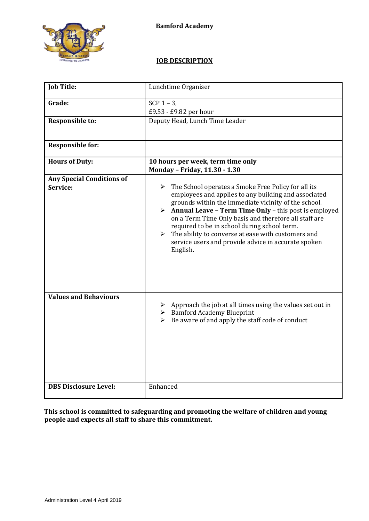

# **JOB DESCRIPTION**

| <b>Job Title:</b>                            | Lunchtime Organiser                                                                                                                                                                                                                                                                                                                                                                                                                                                                                                       |
|----------------------------------------------|---------------------------------------------------------------------------------------------------------------------------------------------------------------------------------------------------------------------------------------------------------------------------------------------------------------------------------------------------------------------------------------------------------------------------------------------------------------------------------------------------------------------------|
| Grade:<br><b>Responsible to:</b>             | SCP $1 - 3$ ,<br>£9.53 - £9.82 per hour<br>Deputy Head, Lunch Time Leader                                                                                                                                                                                                                                                                                                                                                                                                                                                 |
| <b>Responsible for:</b>                      |                                                                                                                                                                                                                                                                                                                                                                                                                                                                                                                           |
| <b>Hours of Duty:</b>                        | 10 hours per week, term time only<br>Monday - Friday, 11.30 - 1.30                                                                                                                                                                                                                                                                                                                                                                                                                                                        |
| <b>Any Special Conditions of</b><br>Service: | $\triangleright$ The School operates a Smoke Free Policy for all its<br>employees and applies to any building and associated<br>grounds within the immediate vicinity of the school.<br>$\triangleright$ Annual Leave - Term Time Only - this post is employed<br>on a Term Time Only basis and therefore all staff are<br>required to be in school during school term.<br>The ability to converse at ease with customers and<br>$\blacktriangleright$<br>service users and provide advice in accurate spoken<br>English. |
| <b>Values and Behaviours</b>                 | $\triangleright$ Approach the job at all times using the values set out in<br>$\triangleright$ Bamford Academy Blueprint<br>$\triangleright$ Be aware of and apply the staff code of conduct                                                                                                                                                                                                                                                                                                                              |
| <b>DBS Disclosure Level:</b>                 | Enhanced                                                                                                                                                                                                                                                                                                                                                                                                                                                                                                                  |

**This school is committed to safeguarding and promoting the welfare of children and young people and expects all staff to share this commitment.**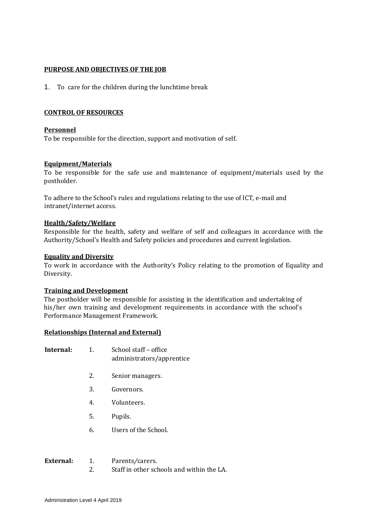## **PURPOSE AND OBJECTIVES OF THE JOB**

1. To care for the children during the lunchtime break

## **CONTROL OF RESOURCES**

## **Personnel**

To be responsible for the direction, support and motivation of self.

## **Equipment/Materials**

To be responsible for the safe use and maintenance of equipment/materials used by the postholder.

To adhere to the School's rules and regulations relating to the use of ICT, e-mail and intranet/internet access.

## **Health/Safety/Welfare**

Responsible for the health, safety and welfare of self and colleagues in accordance with the Authority/School's Health and Safety policies and procedures and current legislation.

#### **Equality and Diversity**

To work in accordance with the Authority's Policy relating to the promotion of Equality and Diversity.

#### **Training and Development**

The postholder will be responsible for assisting in the identification and undertaking of his/her own training and development requirements in accordance with the school's Performance Management Framework.

#### **Relationships (Internal and External)**

- **Internal:** 1. School staff office administrators/apprentice
	- 2. Senior managers.
	- 3. Governors.
	- 4. Volunteers.
	- 5. Pupils.
	- 6. Users of the School.

| External: | Parents/carers.                           |
|-----------|-------------------------------------------|
|           | Staff in other schools and within the LA. |